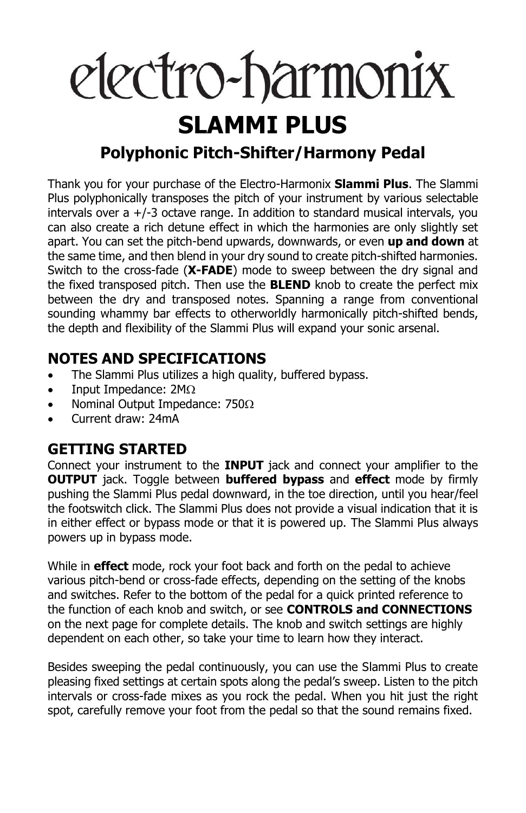# electro-harmonix

# **SLAMMI PLUS**

### **Polyphonic Pitch-Shifter/Harmony Pedal**

Thank you for your purchase of the Electro-Harmonix **Slammi Plus**. The Slammi Plus polyphonically transposes the pitch of your instrument by various selectable intervals over a +/-3 octave range. In addition to standard musical intervals, you can also create a rich detune effect in which the harmonies are only slightly set apart. You can set the pitch-bend upwards, downwards, or even **up and down** at the same time, and then blend in your dry sound to create pitch-shifted harmonies. Switch to the cross-fade (**X-FADE**) mode to sweep between the dry signal and the fixed transposed pitch. Then use the **BLEND** knob to create the perfect mix between the dry and transposed notes. Spanning a range from conventional sounding whammy bar effects to otherworldly harmonically pitch-shifted bends, the depth and flexibility of the Slammi Plus will expand your sonic arsenal.

#### **NOTES AND SPECIFICATIONS**

- The Slammi Plus utilizes a high quality, buffered bypass.
- Input Impedance:  $2M\Omega$
- Nominal Output Impedance:  $750\Omega$
- Current draw: 24mA

#### **GETTING STARTED**

Connect your instrument to the **INPUT** jack and connect your amplifier to the **OUTPUT** jack. Toggle between **buffered bypass** and **effect** mode by firmly pushing the Slammi Plus pedal downward, in the toe direction, until you hear/feel the footswitch click. The Slammi Plus does not provide a visual indication that it is in either effect or bypass mode or that it is powered up. The Slammi Plus always powers up in bypass mode.

While in **effect** mode, rock your foot back and forth on the pedal to achieve various pitch-bend or cross-fade effects, depending on the setting of the knobs and switches. Refer to the bottom of the pedal for a quick printed reference to the function of each knob and switch, or see **CONTROLS and CONNECTIONS** on the next page for complete details. The knob and switch settings are highly dependent on each other, so take your time to learn how they interact.

Besides sweeping the pedal continuously, you can use the Slammi Plus to create pleasing fixed settings at certain spots along the pedal's sweep. Listen to the pitch intervals or cross-fade mixes as you rock the pedal. When you hit just the right spot, carefully remove your foot from the pedal so that the sound remains fixed.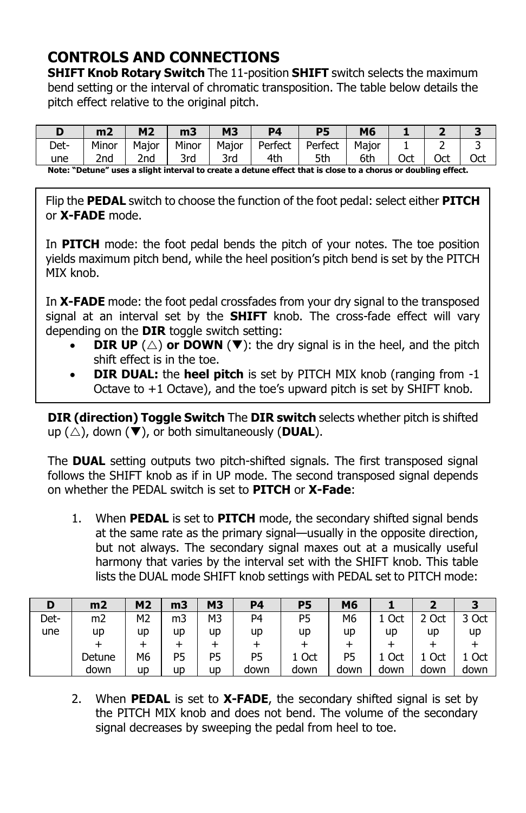#### **CONTROLS AND CONNECTIONS**

**SHIFT Knob Rotary Switch** The 11-position **SHIFT** switch selects the maximum bend setting or the interval of chromatic transposition. The table below details the pitch effect relative to the original pitch.

|                                                                                                                       | m <sub>2</sub> | M <sub>2</sub>  | m <sub>3</sub> | <b>M3</b> | D4      | <b>P5</b> | M6    |     |     |     |
|-----------------------------------------------------------------------------------------------------------------------|----------------|-----------------|----------------|-----------|---------|-----------|-------|-----|-----|-----|
| Det-                                                                                                                  | Minor          | Maior           | Minor          | Major     | Perfect | Perfect   | Maior |     |     |     |
| une                                                                                                                   | 2nd            | 2 <sub>nd</sub> | 3rd            | 3rd       | 4th     | 5th       | 6th   | Oct | Oct | Oct |
| Note: What well were a altable to team of the month of data were affected and there to a change on deviation official |                |                 |                |           |         |           |       |     |     |     |

**Note: "Detune" uses a slight interval to create a detune effect that is close to a chorus or doubling effect.**

Flip the **PEDAL** switch to choose the function of the foot pedal: select either **PITCH** or **X-FADE** mode.

In **PITCH** mode: the foot pedal bends the pitch of your notes. The toe position yields maximum pitch bend, while the heel position's pitch bend is set by the PITCH MIX knob.

In **X-FADE** mode: the foot pedal crossfades from your dry signal to the transposed signal at an interval set by the **SHIFT** knob. The cross-fade effect will vary depending on the **DIR** toggle switch setting:

- **DIR UP**  $(\triangle)$  or **DOWN** ( $\nabla$ ): the dry signal is in the heel, and the pitch shift effect is in the toe.
- **DIR DUAL:** the **heel pitch** is set by PITCH MIX knob (ranging from -1 Octave to  $+1$  Octave), and the toe's upward pitch is set by SHIFT knob.

**DIR (direction) Toggle Switch** The **DIR switch** selects whether pitch is shifted up  $(\triangle)$ , down  $(\blacktriangledown)$ , or both simultaneously (**DUAL**).

The **DUAL** setting outputs two pitch-shifted signals. The first transposed signal follows the SHIFT knob as if in UP mode. The second transposed signal depends on whether the PEDAL switch is set to **PITCH** or **X-Fade**:

1. When **PEDAL** is set to **PITCH** mode, the secondary shifted signal bends at the same rate as the primary signal—usually in the opposite direction, but not always. The secondary signal maxes out at a musically useful harmony that varies by the interval set with the SHIFT knob. This table lists the DUAL mode SHIFT knob settings with PEDAL set to PITCH mode:

| D    | m2             | M <sub>2</sub> | m3 | <b>M3</b>      | <b>P4</b> | P5    | M6   |      |       |       |
|------|----------------|----------------|----|----------------|-----------|-------|------|------|-------|-------|
| Det- | m <sub>2</sub> | М2             | m3 | M3             | P4        | P5    | M6   | Oct  | 2 Oct | 3 Oct |
| une  | up             | up             | up | up             | up        | up    | up   | up   | up    | up    |
|      |                |                |    |                |           |       |      |      |       |       |
|      | Detune         | М6             | P5 | P <sub>5</sub> | P5        | 1 Oct | P5   | Oct  | Oct   | 1 Oct |
|      | down           | up             | up | up             | down      | down  | down | down | down  | down  |

2. When **PEDAL** is set to **X-FADE**, the secondary shifted signal is set by the PITCH MIX knob and does not bend. The volume of the secondary signal decreases by sweeping the pedal from heel to toe.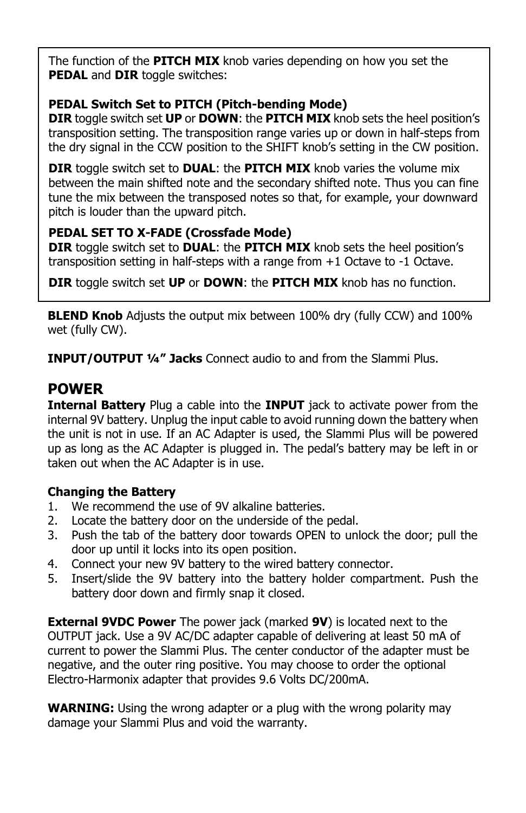The function of the **PITCH MIX** knob varies depending on how you set the **PEDAL** and **DIR** toggle switches:

#### **PEDAL Switch Set to PITCH (Pitch-bending Mode)**

**DIR** toggle switch set **UP** or **DOWN**: the **PITCH MIX** knob sets the heel position's transposition setting. The transposition range varies up or down in half-steps from the dry signal in the CCW position to the SHIFT knob's setting in the CW position.

**DIR** toggle switch set to **DUAL**: the **PITCH MIX** knob varies the volume mix between the main shifted note and the secondary shifted note. Thus you can fine tune the mix between the transposed notes so that, for example, your downward pitch is louder than the upward pitch.

#### **PEDAL SET TO X-FADE (Crossfade Mode)**

**DIR** toggle switch set to **DUAL**: the **PITCH MIX** knob sets the heel position's transposition setting in half-steps with a range from  $+1$  Octave to  $-1$  Octave.

**DIR** toggle switch set **UP** or **DOWN**: the **PITCH MIX** knob has no function.

**BLEND Knob** Adjusts the output mix between 100% dry (fully CCW) and 100% wet (fully CW).

**INPUT/OUTPUT ¼" Jacks** Connect audio to and from the Slammi Plus.

#### **POWER**

**Internal Battery** Plug a cable into the **INPUT** jack to activate power from the internal 9V battery. Unplug the input cable to avoid running down the battery when the unit is not in use. If an AC Adapter is used, the Slammi Plus will be powered up as long as the AC Adapter is plugged in. The pedal's battery may be left in or taken out when the AC Adapter is in use.

#### **Changing the Battery**

- 1. We recommend the use of 9V alkaline batteries.
- 2. Locate the battery door on the underside of the pedal.
- 3. Push the tab of the battery door towards OPEN to unlock the door; pull the door up until it locks into its open position.
- 4. Connect your new 9V battery to the wired battery connector.
- 5. Insert/slide the 9V battery into the battery holder compartment. Push the battery door down and firmly snap it closed.

**External 9VDC Power** The power jack (marked **9V**) is located next to the OUTPUT jack. Use a 9V AC/DC adapter capable of delivering at least 50 mA of current to power the Slammi Plus. The center conductor of the adapter must be negative, and the outer ring positive. You may choose to order the optional Electro-Harmonix adapter that provides 9.6 Volts DC/200mA.

**WARNING:** Using the wrong adapter or a plug with the wrong polarity may damage your Slammi Plus and void the warranty.